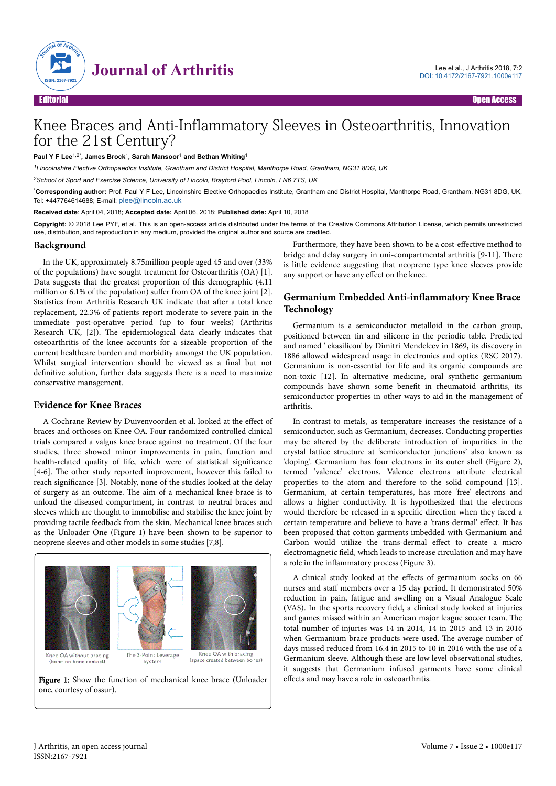

# Knee Braces and Anti-Inflammatory Sleeves in Osteoarthritis, Innovation for the 21st Century?

**Paul Y F Lee**1,2\***, James Brock**<sup>1</sup> **, Sarah Mansoor**<sup>1</sup>  **and Bethan Whiting**<sup>1</sup>

*<sup>1</sup>Lincolnshire Elective Orthopaedics Institute, Grantham and District Hospital, Manthorpe Road, Grantham, NG31 8DG, UK*

*<sup>2</sup>School of Sport and Exercise Science, University of Lincoln, Brayford Pool, Lincoln, LN6 7TS, UK*

\***Corresponding author:** Prof. Paul Y F Lee, Lincolnshire Elective Orthopaedics Institute, Grantham and District Hospital, Manthorpe Road, Grantham, NG31 8DG, UK, Tel: +447764614688; E-mail: [plee@lincoln.ac.uk](mailto:plee@lincoln.ac.uk)

**Received date**: April 04, 2018; **Accepted date:** April 06, 2018; **Published date:** April 10, 2018

**Copyright:** © 2018 Lee PYF, et al. This is an open-access article distributed under the terms of the Creative Commons Attribution License, which permits unrestricted use, distribution, and reproduction in any medium, provided the original author and source are credited.

#### **Background**

In the UK, approximately 8.75million people aged 45 and over (33% of the populations) have sought treatment for Osteoarthritis (OA) [1]. Data suggests that the greatest proportion of this demographic (4.11 million or  $6.1\%$  of the population) suffer from OA of the knee joint [2]. Statistics from Arthritis Research UK indicate that after a total knee replacement, 22.3% of patients report moderate to severe pain in the immediate post-operative period (up to four weeks) (Arthritis Research UK, [2]). Нe epidemiological data clearly indicates that osteoarthritis of the knee accounts for a sizeable proportion of the current healthcare burden and morbidity amongst the UK population. Whilst surgical intervention should be viewed as a final but not definitive solution, further data suggests there is a need to maximize conservative management.

### **Evidence for Knee Braces**

A Cochrane Review by Duivenvoorden et al. looked at the effect of braces and orthoses on Knee OA. Four randomized controlled clinical trials compared a valgus knee brace against no treatment. Of the four studies, three showed minor improvements in pain, function and health-related quality of life, which were of statistical significance [4-6]. Нe other study reported improvement, however this failed to reach significance [3]. Notably, none of the studies looked at the delay of surgery as an outcome. Нe aim of a mechanical knee brace is to unload the diseased compartment, in contrast to neutral braces and sleeves which are thought to immobilise and stabilise the knee joint by providing tactile feedback from the skin. Mechanical knee braces such as the Unloader One (Figure 1) have been shown to be superior to neoprene sleeves and other models in some studies [7,8].



Figure 1: Show the function of mechanical knee brace (Unloader one, courtesy of ossur).

Furthermore, they have been shown to be a cost-effective method to bridge and delay surgery in uni-compartmental arthritis [9-11]. Нere is little evidence suggesting that neoprene type knee sleeves provide any support or have any effect on the knee.

## **Germanium Embedded Anti-inflammatory Knee Brace Technology**

Germanium is a semiconductor metalloid in the carbon group, positioned between tin and silicone in the periodic table. Predicted and named ' ekasilicon' by Dimitri Mendeleev in 1869, its discovery in 1886 allowed widespread usage in electronics and optics (RSC 2017). Germanium is non-essential for life and its organic compounds are non-toxic [12]. In alternative medicine, oral synthetic germanium compounds have shown some benefit in rheumatoid arthritis, its semiconductor properties in other ways to aid in the management of arthritis.

In contrast to metals, as temperature increases the resistance of a semiconductor, such as Germanium, decreases. Conducting properties may be altered by the deliberate introduction of impurities in the crystal lattice structure at 'semiconductor junctions' also known as 'doping'. Germanium has four electrons in its outer shell (Figure 2), termed 'valence' electrons. Valence electrons attribute electrical properties to the atom and therefore to the solid compound [13]. Germanium, at certain temperatures, has more 'free' electrons and allows a higher conductivity. It is hypothesized that the electrons would therefore be released in a specific direction when they faced a certain temperature and believe to have a 'trans-dermal' effect. It has been proposed that cotton garments imbedded with Germanium and Carbon would utilize the trans-dermal effect to create a micro electromagnetic field, which leads to increase circulation and may have a role in the inflammatory process (Figure 3).

A clinical study looked at the effects of germanium socks on 66 nurses and staff members over a 15 day period. It demonstrated 50% reduction in pain, fatigue and swelling on a Visual Analogue Scale (VAS). In the sports recovery field, a clinical study looked at injuries and games missed within an American major league soccer team. Нe total number of injuries was 14 in 2014, 14 in 2015 and 13 in 2016 when Germanium brace products were used. Нe average number of days missed reduced from 16.4 in 2015 to 10 in 2016 with the use of a Germanium sleeve. Although these are low level observational studies, it suggests that Germanium infused garments have some clinical effects and may have a role in osteoarthritis.